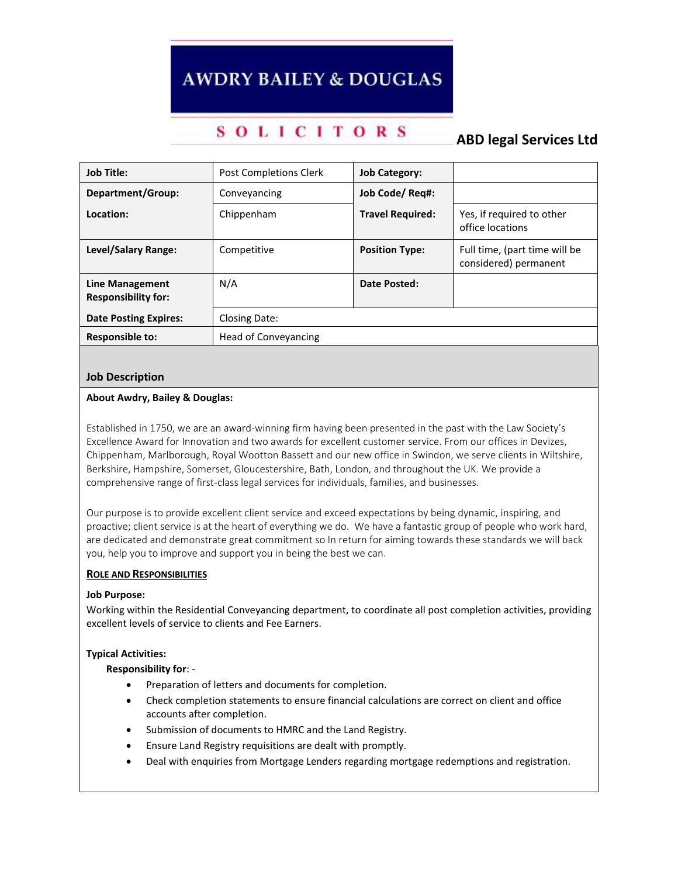# **AWDRY BAILEY & DOUGLAS**

## **SOLICITORS**

### **ABD legal Services Ltd**

| <b>Job Title:</b>                             | <b>Post Completions Clerk</b> | <b>Job Category:</b>    |                                                        |
|-----------------------------------------------|-------------------------------|-------------------------|--------------------------------------------------------|
| Department/Group:                             | Conveyancing                  | Job Code/ Reg#:         |                                                        |
| Location:                                     | Chippenham                    | <b>Travel Required:</b> | Yes, if required to other<br>office locations          |
| <b>Level/Salary Range:</b>                    | Competitive                   | <b>Position Type:</b>   | Full time, (part time will be<br>considered) permanent |
| Line Management<br><b>Responsibility for:</b> | N/A                           | Date Posted:            |                                                        |
| <b>Date Posting Expires:</b>                  | Closing Date:                 |                         |                                                        |
| <b>Responsible to:</b>                        | <b>Head of Conveyancing</b>   |                         |                                                        |

#### **Job Description**

#### **About Awdry, Bailey & Douglas:**

Established in 1750, we are an award-winning firm having been presented in the past with the Law Society's Excellence Award for Innovation and two awards for excellent customer service. From our offices in Devizes, Chippenham, Marlborough, Royal Wootton Bassett and our new office in Swindon, we serve clients in Wiltshire, Berkshire, Hampshire, Somerset, Gloucestershire, Bath, London, and throughout the UK. We provide a comprehensive range of first-class legal services for individuals, families, and businesses.

Our purpose is to provide excellent client service and exceed expectations by being dynamic, inspiring, and proactive; client service is at the heart of everything we do. We have a fantastic group of people who work hard, are dedicated and demonstrate great commitment so In return for aiming towards these standards we will back you, help you to improve and support you in being the best we can.

#### **ROLE AND RESPONSIBILITIES**

#### **Job Purpose:**

Working within the Residential Conveyancing department, to coordinate all post completion activities, providing excellent levels of service to clients and Fee Earners.

#### **Typical Activities:**

**Responsibility for**: -

- Preparation of letters and documents for completion.
- Check completion statements to ensure financial calculations are correct on client and office accounts after completion.
- Submission of documents to HMRC and the Land Registry.
- Ensure Land Registry requisitions are dealt with promptly.
- Deal with enquiries from Mortgage Lenders regarding mortgage redemptions and registration.